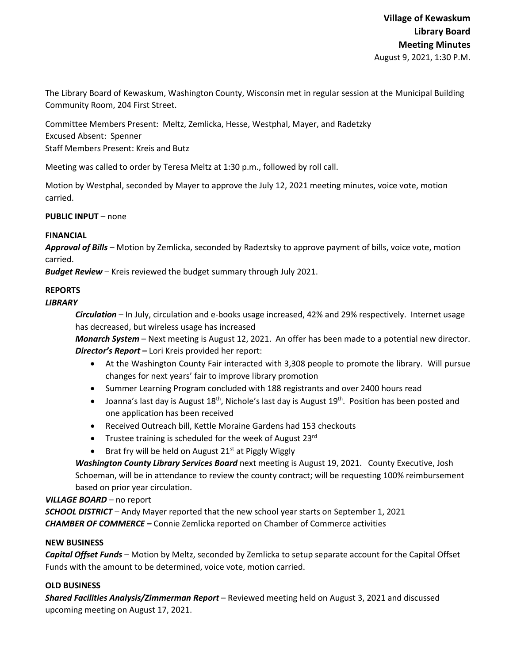The Library Board of Kewaskum, Washington County, Wisconsin met in regular session at the Municipal Building Community Room, 204 First Street.

Committee Members Present: Meltz, Zemlicka, Hesse, Westphal, Mayer, and Radetzky Excused Absent: Spenner Staff Members Present: Kreis and Butz

Meeting was called to order by Teresa Meltz at 1:30 p.m., followed by roll call.

Motion by Westphal, seconded by Mayer to approve the July 12, 2021 meeting minutes, voice vote, motion carried.

**PUBLIC INPUT** – none

## **FINANCIAL**

*Approval of Bills –* Motion by Zemlicka, seconded by Radeztsky to approve payment of bills, voice vote, motion carried.

*Budget Review* – Kreis reviewed the budget summary through July 2021.

# **REPORTS**

## *LIBRARY*

*Circulation* – In July, circulation and e-books usage increased, 42% and 29% respectively. Internet usage has decreased, but wireless usage has increased

*Monarch System* – Next meeting is August 12, 2021. An offer has been made to a potential new director. *Director's Report* **–** Lori Kreis provided her report:

- At the Washington County Fair interacted with 3,308 people to promote the library. Will pursue changes for next years' fair to improve library promotion
- Summer Learning Program concluded with 188 registrants and over 2400 hours read
- Joanna's last day is August  $18^{th}$ , Nichole's last day is August  $19^{th}$ . Position has been posted and one application has been received
- Received Outreach bill, Kettle Moraine Gardens had 153 checkouts
- Trustee training is scheduled for the week of August  $23^{rd}$
- Brat fry will be held on August 21<sup>st</sup> at Piggly Wiggly

*Washington County Library Services Board* next meeting is August 19, 2021. County Executive, Josh Schoeman, will be in attendance to review the county contract; will be requesting 100% reimbursement based on prior year circulation.

### *VILLAGE BOARD* – no report

*SCHOOL DISTRICT* – Andy Mayer reported that the new school year starts on September 1, 2021 *CHAMBER OF COMMERCE –* Connie Zemlicka reported on Chamber of Commerce activities

### **NEW BUSINESS**

*Capital Offset Funds* – Motion by Meltz, seconded by Zemlicka to setup separate account for the Capital Offset Funds with the amount to be determined, voice vote, motion carried.

### **OLD BUSINESS**

*Shared Facilities Analysis/Zimmerman Report* – Reviewed meeting held on August 3, 2021 and discussed upcoming meeting on August 17, 2021.